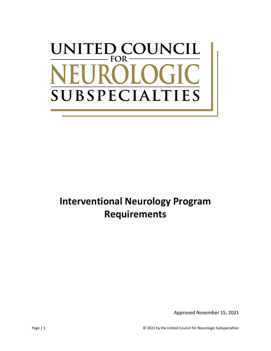# UNITED COUNCIL  $FOR \cdot$ **SUBSPECIALT TIES**

# **Interventional Neurology Program Requirements**

Approved November 15, 2021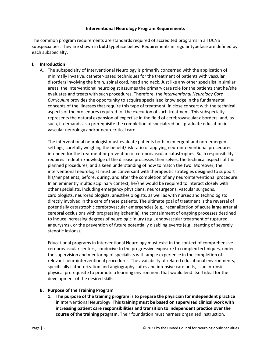#### **Interventional Neurology Program Requirements**

The common program requirements are standards required of accredited programs in all UCNS subspecialties. They are shown in **bold** typeface below. Requirements in regular typeface are defined by each subspecialty.

### **I. Introduction**

A. The subspecialty of Interventional Neurology is primarily concerned with the application of minimally invasive, catheter-based techniques for the treatment of patients with vascular disorders involving the brain, spinal cord, head and neck. Just like any other specialist in similar areas, the interventional neurologist assumes the primary care role for the patients that he/she evaluates and treats with such procedures. Therefore, the *Interventional Neurology Core Curriculum* provides the opportunity to acquire specialized knowledge in the fundamental concepts of the illnesses that require this type of treatment, in close concert with the technical aspects of the procedures required for the execution of such treatment. This subspecialty represents the natural expansion of expertise in the field of cerebrovascular disorders, and, as such, it demands as a prerequisite the completion of specialized postgraduate education in vascular neurology and/or neurocritical care.

The interventional neurologist must evaluate patients both in emergent and non-emergent settings, carefully weighing the benefit/risk ratio of applying neurointerventional procedures intended for the treatment or prevention of cerebrovascular catastrophes. Such responsibility requires in-depth knowledge of the disease processes themselves, the technical aspects of the planned procedures, and a keen understanding of how to match the two. Moreover, the interventional neurologist must be conversant with therapeutic strategies designed to support his/her patients, before, during, and after the completion of any neurointerventional procedure. In an eminently multidisciplinary context, he/she would be required to interact closely with other specialists, including emergency physicians, neurosurgeons, vascular surgeons, cardiologists, neuroradiologists, anesthesiologists, as well as with nurses and technologists directly involved in the care of these patients. The ultimate goal of treatment is the reversal of potentially catastrophic cerebrovascular emergencies (e.g., recanalization of acute large arterial cerebral occlusions with progressing ischemia), the containment of ongoing processes destined to induce increasing degrees of neurologic injury (e.g., endovascular treatment of ruptured aneurysms), or the prevention of future potentially disabling events (e.g., stenting of severely stenotic lesions).

Educational programs in Interventional Neurology must exist in the context of comprehensive cerebrovascular centers, conducive to the progressive exposure to complex techniques, under the supervision and mentoring of specialists with ample experience in the completion of relevant neurointerventional procedures. The availability of related educational environments, specifically catheterization and angiography suites and intensive care units, is an intrinsic physical prerequisite to promote a learning environment that would lend itself ideal for the development of the desired skills.

#### **B. Purpose of the Training Program**

**1. The purpose of the training program is to prepare the physician for independent practice in** Interventional Neurology. **This training must be based on supervised clinical work with increasing patient care responsibilities and transition to independent practice over the course of the training program.** Their foundation must harness organized instruction,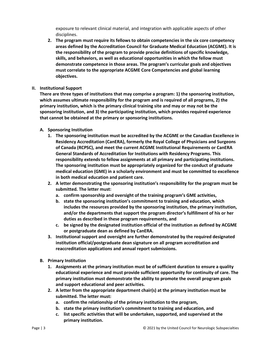exposure to relevant clinical material, and integration with applicable aspects of other disciplines.

- **2. The program must require its fellows to obtain competencies in the six core competency areas defined by the Accreditation Council for Graduate Medical Education (ACGME). It is the responsibility of the program to provide precise definitions of specific knowledge, skills, and behaviors, as well as educational opportunities in which the fellow must demonstrate competence in those areas. The program's curricular goals and objectives must correlate to the appropriate ACGME Core Competencies and global learning objectives.**
- **II. Institutional Support**

**There are three types of institutions that may comprise a program: 1) the sponsoring institution, which assumes ultimate responsibility for the program and is required of all programs, 2) the primary institution, which is the primary clinical training site and may or may not be the sponsoring institution, and 3) the participating institution, which provides required experience that cannot be obtained at the primary or sponsoring institutions.**

- **A. Sponsoring Institution**
	- **1. The sponsoring institution must be accredited by the ACGME or the Canadian Excellence in Residency Accreditation (CanERA), formerly the Royal College of Physicians and Surgeons of Canada (RCPSC), and meet the current ACGME Institutional Requirements or CanERA General Standards of Accreditation for Institutions with Residency Programs. This responsibility extends to fellow assignments at all primary and participating institutions. The sponsoring institution must be appropriately organized for the conduct of graduate medical education (GME) in a scholarly environment and must be committed to excellence in both medical education and patient care.**
	- **2. A letter demonstrating the sponsoring institution's responsibility for the program must be submitted. The letter must:**
		- **a. confirm sponsorship and oversight of the training program's GME activities,**
		- **b. state the sponsoring institution's commitment to training and education, which includes the resources provided by the sponsoring institution, the primary institution, and/or the departments that support the program director's fulfillment of his or her duties as described in these program requirements, and**
		- **c. be signed by the designated institution official of the institution as defined by ACGME or postgraduate dean as defined by CanERA.**
	- **3. Institutional support and oversight are further demonstrated by the required designated institution official/postgraduate dean signature on all program accreditation and reaccreditation applications and annual report submissions.**
- **B. Primary Institution**
	- **1. Assignments at the primary institution must be of sufficient duration to ensure a quality educational experience and must provide sufficient opportunity for continuity of care. The primary institution must demonstrate the ability to promote the overall program goals and support educational and peer activities.**
	- **2. A letter from the appropriate department chair(s) at the primary institution must be submitted. The letter must:**
		- **a. confirm the relationship of the primary institution to the program,**
		- **b. state the primary institution's commitment to training and education, and**
		- **c. list specific activities that will be undertaken, supported, and supervised at the primary institution.**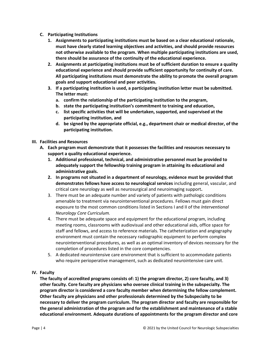- **C. Participating Institutions**
	- **1. Assignments to participating institutions must be based on a clear educational rationale, must have clearly stated learning objectives and activities, and should provide resources not otherwise available to the program. When multiple participating institutions are used, there should be assurance of the continuity of the educational experience.**
	- **2. Assignments at participating institutions must be of sufficient duration to ensure a quality educational experience and should provide sufficient opportunity for continuity of care. All participating institutions must demonstrate the ability to promote the overall program goals and support educational and peer activities.**
	- **3. If a participating institution is used, a participating institution letter must be submitted. The letter must:**
		- **a. confirm the relationship of the participating institution to the program,**
		- **b. state the participating institution's commitment to training and education,**
		- **c. list specific activities that will be undertaken, supported, and supervised at the participating institution, and**
		- **d. be signed by the appropriate official, e.g., department chair or medical director, of the participating institution.**
- **III. Facilities and Resources**
	- **A. Each program must demonstrate that it possesses the facilities and resources necessary to support a quality educational experience.**
		- **1. Additional professional, technical, and administrative personnel must be provided to adequately support the fellowship training program in attaining its educational and administrative goals.**
		- **2. In programs not situated in a department of neurology, evidence must be provided that demonstrates fellows have access to neurological services** including general, vascular, and critical care neurology as well as neurosurgical and neuroimaging support**.**
		- 3. There must be an adequate number and variety of patients with pathologic conditions amenable to treatment via neurointerventional procedures. Fellows must gain direct exposure to the most common conditions listed in Sections I and II of the *Interventional Neurology Core Curriculum.*
		- 4. There must be adequate space and equipment for the educational program, including meeting rooms, classrooms with audiovisual and other educational aids, office space for staff and fellows, and access to reference materials. The catheterization and angiography environment must contain the necessary radiographic equipment to perform complex neurointerventional procedures, as well as an optimal inventory of devices necessary for the completion of procedures listed in the core competencies.
		- 5. A dedicated neurointensive care environment that is sufficient to accommodate patients who require perioperative management, such as dedicated neurointensive care unit.

# **IV. Faculty**

**The faculty of accredited programs consists of: 1) the program director, 2) core faculty, and 3) other faculty. Core faculty are physicians who oversee clinical training in the subspecialty. The program director is considered a core faculty member when determining the fellow complement. Other faculty are physicians and other professionals determined by the Subspecialty to be necessary to deliver the program curriculum. The program director and faculty are responsible for the general administration of the program and for the establishment and maintenance of a stable educational environment. Adequate durations of appointments for the program director and core**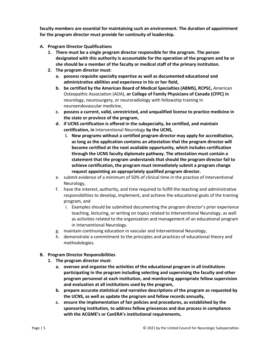**faculty members are essential for maintaining such an environment. The duration of appointment for the program director must provide for continuity of leadership.**

- **A. Program Director Qualifications**
	- **1. There must be a single program director responsible for the program. The person designated with this authority is accountable for the operation of the program and he or she should be a member of the faculty or medical staff of the primary institution.**
	- **2. The program director must:**
		- **a. possess requisite specialty expertise as well as documented educational and administrative abilities and experience in his or her field,**
		- **b. be certified by the American Board of Medical Specialties (ABMS), RCPSC,** American Osteopathic Association (AOA), **or College of Family Physicians of Canada (CFPC) in** neurology, neurosurgery, or neuroradiology with fellowship training in neuroendovascular medicine,
		- **c. possess a current, valid, unrestricted, and unqualified license to practice medicine in the state or province of the program,**
		- **d. if UCNS certification is offered in the subspecialty, be certified, and maintain certification, in** Interventional Neurology **by the UCNS,**
			- **i. New programs without a certified program director may apply for accreditation, as long as the application contains an attestation that the program director will become certified at the next available opportunity, which includes certification through the UCNS faculty diplomate pathway. The attestation must contain a statement that the program understands that should the program director fail to achieve certification, the program must immediately submit a program change request appointing an appropriately qualified program director.**
		- e. submit evidence of a minimum of 50% of clinical time in the practice of Interventional Neurology,
		- f. have the interest, authority, and time required to fulfill the teaching and administrative responsibilities to develop, implement, and achieve the educational goals of the training program, and
			- i. Examples should be submitted documenting the program director's prior experience teaching, lecturing, or writing on topics related to Interventional Neurology, as well as activities related to the organization and management of an educational program in Interventional Neurology.
		- g. maintain continuing education in vascular and Interventional Neurology,
		- h. demonstrate a commitment to the principles and practices of educational theory and methodologies.
- **B. Program Director Responsibilities**
	- **1. The program director must:**
		- **a. oversee and organize the activities of the educational program in all institutions participating in the program including selecting and supervising the faculty and other program personnel at each institution, and monitoring appropriate fellow supervision and evaluation at all institutions used by the program,**
		- **b. prepare accurate statistical and narrative descriptions of the program as requested by the UCNS, as well as update the program and fellow records annually,**
		- **c. ensure the implementation of fair policies and procedures, as established by the sponsoring institution, to address fellow grievances and due process in compliance with the ACGME's or CanERA's institutional requirements,**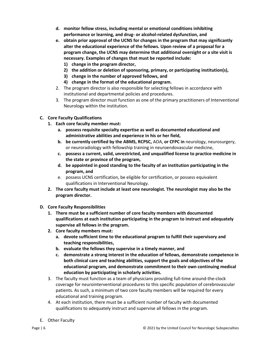- **d. monitor fellow stress, including mental or emotional conditions inhibiting performance or learning, and drug- or alcohol-related dysfunction, and**
- **e. obtain prior approval of the UCNS for changes in the program that may significantly alter the educational experience of the fellows. Upon review of a proposal for a program change, the UCNS may determine that additional oversight or a site visit is necessary. Examples of changes that must be reported include: 1) change in the program director,**
	- **2) the addition or deletion of sponsoring, primary, or participating institution(s),**
	- **3) change in the number of approved fellows, and**
	- **4) change in the format of the educational program.**
- 2. The program director is also responsible for selecting fellows in accordance with institutional and departmental policies and procedures.
- 3. The program director must function as one of the primary practitioners of Interventional Neurology within the institution.

# **C. Core Faculty Qualifications**

- **1. Each core faculty member must:** 
	- **a. possess requisite specialty expertise as well as documented educational and administrative abilities and experience in his or her field,**
	- **b. be currently certified by the ABMS, RCPSC,** AOA, **or CFPC in** neurology, neurosurgery, or neuroradiology with fellowship training in neuroendovascular medicine,
	- **c. possess a current, valid, unrestricted, and unqualified license to practice medicine in the state or province of the program,**
	- **d. be appointed in good standing to the faculty of an institution participating in the program, and**
	- e. possess UCNS certification, be eligible for certification, or possess equivalent qualifications in Interventional Neurology.
- **2. The core faculty must include at least one neurologist. The neurologist may also be the program director.**
- **D. Core Faculty Responsibilities**
	- **1. There must be a sufficient number of core faculty members with documented qualifications at each institution participating in the program to instruct and adequately supervise all fellows in the program.**
	- **2. Core faculty members must:**
		- **a. devote sufficient time to the educational program to fulfill their supervisory and teaching responsibilities,**
		- **b. evaluate the fellows they supervise in a timely manner, and**
		- **c. demonstrate a strong interest in the education of fellows, demonstrate competence in both clinical care and teaching abilities, support the goals and objectives of the educational program, and demonstrate commitment to their own continuing medical education by participating in scholarly activities.**
	- 3. The faculty must function as a team of physicians providing full-time around-the-clock coverage for neurointerventional procedures to this specific population of cerebrovascular patients. As such, a minimum of two core faculty members will be required for every educational and training program.
	- 4. At each institution, there must be a sufficient number of faculty with documented qualifications to adequately instruct and supervise all fellows in the program.
- E. Other Faculty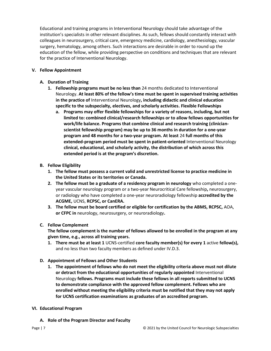Educational and training programs in Interventional Neurology should take advantage of the institution's specialists in other relevant disciplines. As such, fellows should constantly interact with colleagues in neurosurgery, critical care, emergency medicine, cardiology, anesthesiology, vascular surgery, hematology, among others. Such interactions are desirable in order to round up the education of the fellow, while providing perspective on conditions and techniques that are relevant for the practice of Interventional Neurology.

# **V. Fellow Appointment**

- **A. Duration of Training**
	- **1. Fellowship programs must be no less than** 24 months dedicated to Interventional Neurology. **At least 80% of the fellow's time must be spent in supervised training activities in the practice of** Interventional Neurology**, including didactic and clinical education specific to the subspecialty, electives, and scholarly activities. Flexible Fellowships**
		- **a. Programs may offer flexible fellowships for a variety of reasons, including, but not limited to: combined clinical/research fellowships or to allow fellows opportunities for work/life balance. Programs that combine clinical and research training (clinicianscientist fellowship program) may be up to 36 months in duration for a one-year program and 48 months for a two-year program. At least** 24 **full months of this extended-program period must be spent in patient-oriented** Interventional Neurology **clinical, educational, and scholarly activity, the distribution of which across this extended period is at the program's discretion.**
- **B. Fellow Eligibility**
	- **1. The fellow must possess a current valid and unrestricted license to practice medicine in the United States or its territories or Canada.**
	- **2. The fellow must be a graduate of a residency program in neurology** who completed a oneyear vascular neurology program or a two-year Neurocritical Care fellowship**,** neurosurgery, or radiology who have completed a one-year neuroradiology fellowship **accredited by the ACGME,** UCNS, **RCPSC, or CanERA.**
	- **3. The fellow must be board certified or eligible for certification by the ABMS, RCPSC,** AOA, **or CFPC in** neurology, neurosurgery, or neuroradiology**.**
- **C. Fellow Complement**

**The fellow complement is the number of fellows allowed to be enrolled in the program at any given time, e.g., across all training years.** 

- **1. There must be at least 1** UCNS-certified **core faculty member(s) for every 1** active **fellow(s),**  and no less than two faculty members as defined under IV.D.3.
- **D. Appointment of Fellows and Other Students**
	- **1. The appointment of fellows who do not meet the eligibility criteria above must not dilute or detract from the educational opportunities of regularly appointed** Interventional Neurology **fellows. Programs must include these fellows in all reports submitted to UCNS to demonstrate compliance with the approved fellow complement. Fellows who are enrolled without meeting the eligibility criteria must be notified that they may not apply for UCNS certification examinations as graduates of an accredited program.**
- **VI. Educational Program**
	- **A. Role of the Program Director and Faculty**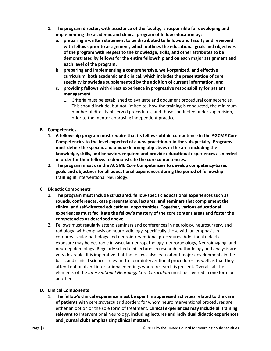- **1. The program director, with assistance of the faculty, is responsible for developing and implementing the academic and clinical program of fellow education by:**
	- **a. preparing a written statement to be distributed to fellows and faculty and reviewed with fellows prior to assignment, which outlines the educational goals and objectives of the program with respect to the knowledge, skills, and other attributes to be demonstrated by fellows for the entire fellowship and on each major assignment and each level of the program,**
	- **b. preparing and implementing a comprehensive, well-organized, and effective curriculum, both academic and clinical, which includes the presentation of core specialty knowledge supplemented by the addition of current information, and**
	- **c. providing fellows with direct experience in progressive responsibility for patient management.**
		- 1. Criteria must be established to evaluate and document procedural competencies. This should include, but not limited to, how the training is conducted, the minimum number of directly observed procedures, and those conducted under supervision, prior to the mentor approving independent practice.

# **B. Competencies**

- **1. A fellowship program must require that its fellows obtain competence in the AGCME Core Competencies to the level expected of a new practitioner in the subspecialty. Programs must define the specific and unique learning objectives in the area including the knowledge, skills, and behaviors required and provide educational experiences as needed in order for their fellows to demonstrate the core competencies.**
- **2. The program must use the ACGME Core Competencies to develop competency-based goals and objectives for all educational experiences during the period of fellowship training in** Interventional Neurology**.**
- **C. Didactic Components**
	- **1. The program must include structured, fellow-specific educational experiences such as rounds, conferences, case presentations, lectures, and seminars that complement the clinical and self-directed educational opportunities. Together, various educational experiences must facilitate the fellow's mastery of the core content areas and foster the competencies as described above.**
	- 2. Fellows must regularly attend seminars and conferences in neurology, neurosurgery, and radiology, with emphasis on neuroradiology, specifically those with an emphasis in cerebrovascular pathology and neurointerventional procedures. Additional didactic exposure may be desirable in vascular neuropathology, neuroradiology, Neuroimaging, and neuroepidemiology. Regularly scheduled lectures in research methodology and analysis are very desirable. It is imperative that the fellows also learn about major developments in the basic and clinical sciences relevant to neurointerventional procedures, as well as that they attend national and international meetings where research is present. Overall, all the elements of the *Interventional Neurology Core Curriculum* must be covered in one form or another.

# **D. Clinical Components**

1. **The fellow's clinical experience must be spent in supervised activities related to the care of patients with** cerebrovascular disorders for whom neurointerventional procedures are either an option or the sole form of treatment**. Clinical experiences may include all training relevant to** Interventional Neurology, **including lectures and individual didactic experiences and journal clubs emphasizing clinical matters.**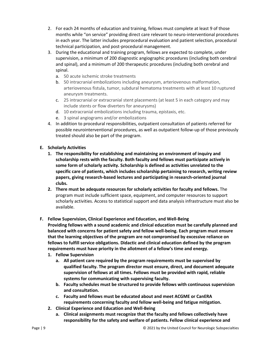- 2. For each 24 months of education and training, fellows must complete at least 9 of those months while "on service" providing direct care relevant to neuro-interventional procedures in each year. The latter includes preprocedural evaluation and patient selection, procedural technical participation, and post-procedural management.
- 3. During the educational and training program, fellows are expected to complete, under supervision, a minimum of 200 diagnostic angiographic procedures (including both cerebral and spinal), and a minimum of 200 therapeutic procedures (including both cerebral and spinal.
	- a. 50 acute ischemic stroke treatments
	- b. 50 intracranial embolizations including aneurysm, arteriovenous malformation, arteriovenous fistula, tumor, subdural hematoma treatments with at least 10 ruptured aneurysm treatments.
	- c. 25 intracranial or extracranial stent placements (at least 5 in each category and may include stents or flow diverters for aneurysms)
	- d. 10 extracranial embolizations including trauma, epistaxis, etc.
	- e. 3 spinal angiograms and/or embolizations
- 4. In addition to procedural responsibilities, outpatient consultation of patients referred for possible neurointerventional procedures, as well as outpatient follow-up of those previously treated should also be part of the program.
- **E. Scholarly Activities**
	- **1. The responsibility for establishing and maintaining an environment of inquiry and scholarship rests with the faculty. Both faculty and fellows must participate actively in some form of scholarly activity. Scholarship is defined as activities unrelated to the specific care of patients, which includes scholarship pertaining to research, writing review papers, giving research-based lectures and participating in research-oriented journal clubs.**
	- **2. There must be adequate resources for scholarly activities for faculty and fellows.** The program must include sufficient space, equipment, and computer resources to support scholarly activities. Access to statistical support and data analysis infrastructure must also be available.
- **F. Fellow Supervision, Clinical Experience and Education, and Well-Being**

**Providing fellows with a sound academic and clinical education must be carefully planned and balanced with concerns for patient safety and fellow well-being. Each program must ensure that the learning objectives of the program are not compromised by excessive reliance on fellows to fulfill service obligations. Didactic and clinical education defined by the program requirements must have priority in the allotment of a fellow's time and energy.**

- **1. Fellow Supervision**
	- **a. All patient care required by the program requirements must be supervised by qualified faculty. The program director must ensure, direct, and document adequate supervision of fellows at all times. Fellows must be provided with rapid, reliable systems for communicating with supervising faculty.**
	- **b. Faculty schedules must be structured to provide fellows with continuous supervision and consultation.**
	- **c. Faculty and fellows must be educated about and meet ACGME or CanERA requirements concerning faculty and fellow well-being and fatigue mitigation.**
- **2. Clinical Experience and Education and Well-Being**
	- **a. Clinical assignments must recognize that the faculty and fellows collectively have responsibility for the safety and welfare of patients. Fellow clinical experience and**